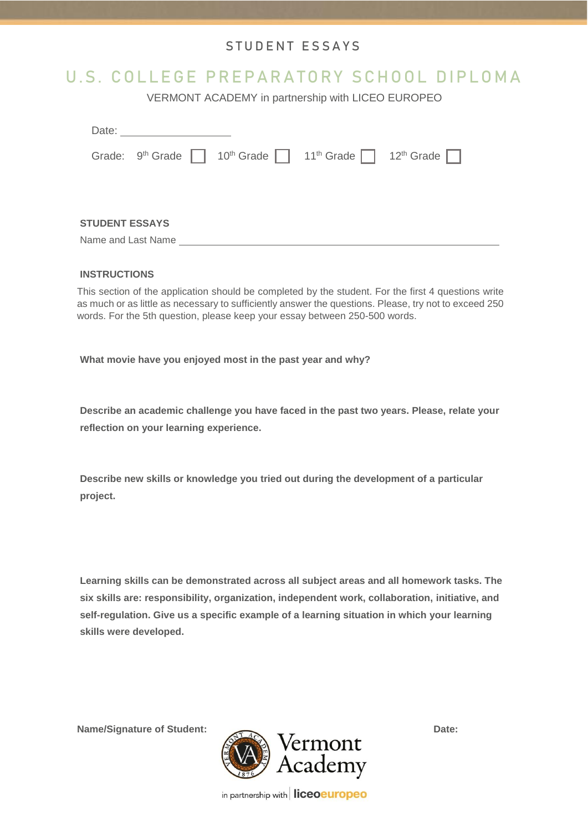## STUDENT ESSAYS

## U.S. COLLEGE PREPARATORY SCHOOL DIPLOMA

VERMONT ACADEMY in partnership with LICEO EUROPEO

|                        |                       | Date: <u>____________________</u> |  |  |                                                                                           |  |  |
|------------------------|-----------------------|-----------------------------------|--|--|-------------------------------------------------------------------------------------------|--|--|
|                        |                       |                                   |  |  | Grade: $9th$ Grade 10 <sup>th</sup> Grade 11 <sup>th</sup> Grade 12 <sup>th</sup> Grade 1 |  |  |
|                        |                       |                                   |  |  |                                                                                           |  |  |
|                        |                       |                                   |  |  |                                                                                           |  |  |
|                        | <b>STUDENT ESSAYS</b> |                                   |  |  |                                                                                           |  |  |
| Name and Last Name ___ |                       |                                   |  |  |                                                                                           |  |  |

## **INSTRUCTIONS**

This section of the application should be completed by the student. For the first 4 questions write as much or as little as necessary to sufficiently answer the questions. Please, try not to exceed 250 words. For the 5th question, please keep your essay between 250-500 words.

**What movie have you enjoyed most in the past year and why?**

**Describe an academic challenge you have faced in the past two years. Please, relate your reflection on your learning experience.**

**Describe new skills or knowledge you tried out during the development of a particular project.**

**Learning skills can be demonstrated across all subject areas and all homework tasks. The six skills are: responsibility, organization, independent work, collaboration, initiative, and self-regulation. Give us a specific example of a learning situation in which your learning skills were developed.**



in partnership with liceoeuropeo